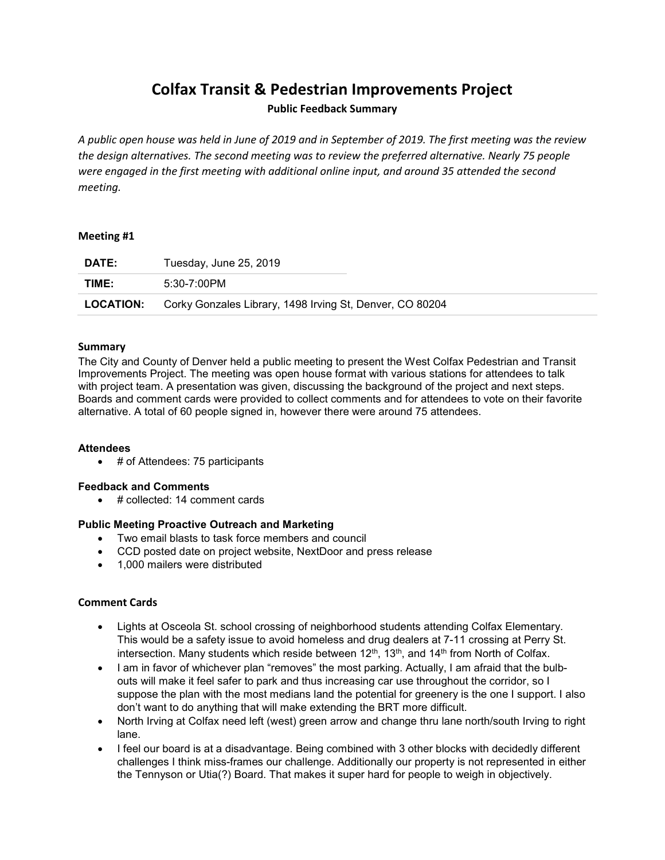# **Colfax Transit & Pedestrian Improvements Project**

# **Public Feedback Summary**

*A public open house was held in June of 2019 and in September of 2019. The first meeting was the review the design alternatives. The second meeting was to review the preferred alternative. Nearly 75 people were engaged in the first meeting with additional online input, and around 35 attended the second meeting.*

# **Meeting #1**

| <b>DATE:</b>     | Tuesday, June 25, 2019                                   |
|------------------|----------------------------------------------------------|
| TIME:            | 5:30-7:00PM                                              |
| <b>LOCATION:</b> | Corky Gonzales Library, 1498 Irving St, Denver, CO 80204 |

# **Summary**

The City and County of Denver held a public meeting to present the West Colfax Pedestrian and Transit Improvements Project. The meeting was open house format with various stations for attendees to talk with project team. A presentation was given, discussing the background of the project and next steps. Boards and comment cards were provided to collect comments and for attendees to vote on their favorite alternative. A total of 60 people signed in, however there were around 75 attendees.

#### **Attendees**

• # of Attendees: 75 participants

#### **Feedback and Comments**

• # collected: 14 comment cards

# **Public Meeting Proactive Outreach and Marketing**

- Two email blasts to task force members and council
- CCD posted date on project website, NextDoor and press release
- 1,000 mailers were distributed

#### **Comment Cards**

- Lights at Osceola St. school crossing of neighborhood students attending Colfax Elementary. This would be a safety issue to avoid homeless and drug dealers at 7-11 crossing at Perry St. intersection. Many students which reside between  $12<sup>th</sup>$ ,  $13<sup>th</sup>$ , and  $14<sup>th</sup>$  from North of Colfax.
- I am in favor of whichever plan "removes" the most parking. Actually, I am afraid that the bulbouts will make it feel safer to park and thus increasing car use throughout the corridor, so I suppose the plan with the most medians land the potential for greenery is the one I support. I also don't want to do anything that will make extending the BRT more difficult.
- North Irving at Colfax need left (west) green arrow and change thru lane north/south Irving to right lane.
- I feel our board is at a disadvantage. Being combined with 3 other blocks with decidedly different challenges I think miss-frames our challenge. Additionally our property is not represented in either the Tennyson or Utia(?) Board. That makes it super hard for people to weigh in objectively.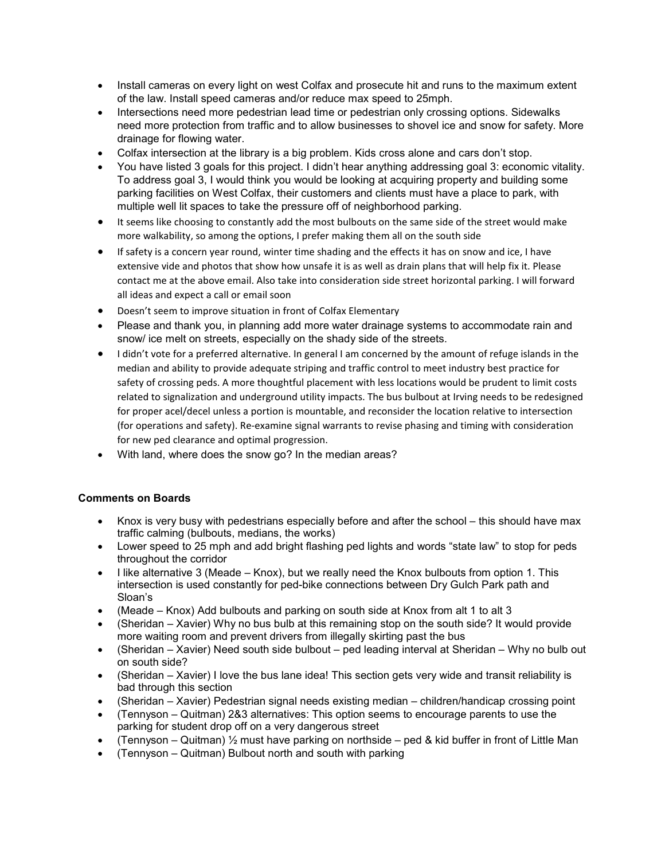- Install cameras on every light on west Colfax and prosecute hit and runs to the maximum extent of the law. Install speed cameras and/or reduce max speed to 25mph.
- Intersections need more pedestrian lead time or pedestrian only crossing options. Sidewalks need more protection from traffic and to allow businesses to shovel ice and snow for safety. More drainage for flowing water.
- Colfax intersection at the library is a big problem. Kids cross alone and cars don't stop.
- You have listed 3 goals for this project. I didn't hear anything addressing goal 3: economic vitality. To address goal 3, I would think you would be looking at acquiring property and building some parking facilities on West Colfax, their customers and clients must have a place to park, with multiple well lit spaces to take the pressure off of neighborhood parking.
- It seems like choosing to constantly add the most bulbouts on the same side of the street would make more walkability, so among the options, I prefer making them all on the south side
- If safety is a concern year round, winter time shading and the effects it has on snow and ice, I have extensive vide and photos that show how unsafe it is as well as drain plans that will help fix it. Please contact me at the above email. Also take into consideration side street horizontal parking. I will forward all ideas and expect a call or email soon
- Doesn't seem to improve situation in front of Colfax Elementary
- Please and thank you, in planning add more water drainage systems to accommodate rain and snow/ ice melt on streets, especially on the shady side of the streets.
- I didn't vote for a preferred alternative. In general I am concerned by the amount of refuge islands in the median and ability to provide adequate striping and traffic control to meet industry best practice for safety of crossing peds. A more thoughtful placement with less locations would be prudent to limit costs related to signalization and underground utility impacts. The bus bulbout at Irving needs to be redesigned for proper acel/decel unless a portion is mountable, and reconsider the location relative to intersection (for operations and safety). Re-examine signal warrants to revise phasing and timing with consideration for new ped clearance and optimal progression.
- With land, where does the snow go? In the median areas?

# **Comments on Boards**

- Knox is very busy with pedestrians especially before and after the school this should have max traffic calming (bulbouts, medians, the works)
- Lower speed to 25 mph and add bright flashing ped lights and words "state law" to stop for peds throughout the corridor
- I like alternative 3 (Meade Knox), but we really need the Knox bulbouts from option 1. This intersection is used constantly for ped-bike connections between Dry Gulch Park path and Sloan's
- (Meade Knox) Add bulbouts and parking on south side at Knox from alt 1 to alt 3
- (Sheridan Xavier) Why no bus bulb at this remaining stop on the south side? It would provide more waiting room and prevent drivers from illegally skirting past the bus
- (Sheridan Xavier) Need south side bulbout ped leading interval at Sheridan Why no bulb out on south side?
- (Sheridan Xavier) I love the bus lane idea! This section gets very wide and transit reliability is bad through this section
- (Sheridan Xavier) Pedestrian signal needs existing median children/handicap crossing point
- (Tennyson Quitman) 2&3 alternatives: This option seems to encourage parents to use the parking for student drop off on a very dangerous street
- (Tennyson Quitman)  $\frac{1}{2}$  must have parking on northside ped & kid buffer in front of Little Man
- (Tennyson Quitman) Bulbout north and south with parking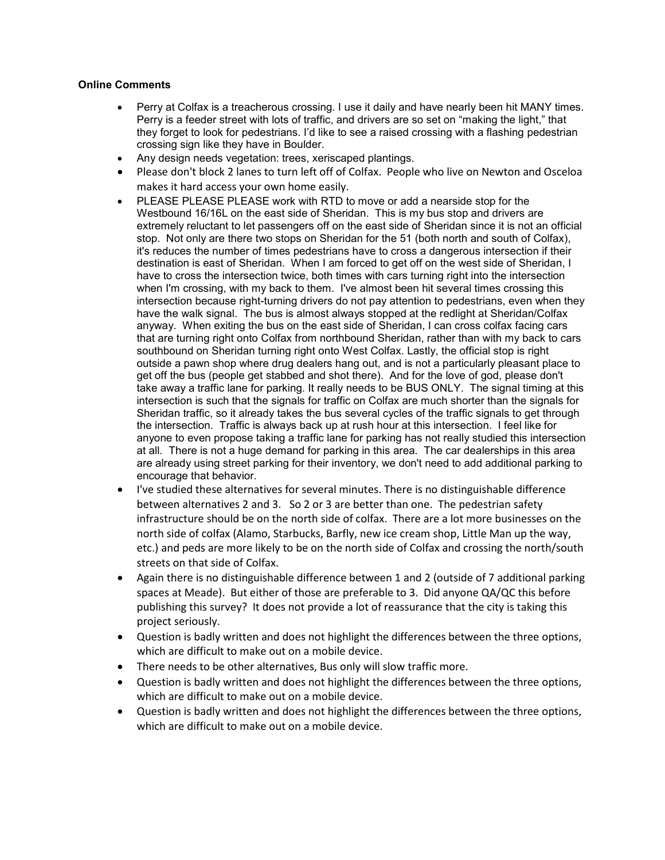# **Online Comments**

- Perry at Colfax is a treacherous crossing. I use it daily and have nearly been hit MANY times. Perry is a feeder street with lots of traffic, and drivers are so set on "making the light," that they forget to look for pedestrians. I'd like to see a raised crossing with a flashing pedestrian crossing sign like they have in Boulder.
- Any design needs vegetation: trees, xeriscaped plantings.
- Please don't block 2 lanes to turn left off of Colfax. People who live on Newton and Osceloa makes it hard access your own home easily.
- PLEASE PLEASE PLEASE work with RTD to move or add a nearside stop for the Westbound 16/16L on the east side of Sheridan. This is my bus stop and drivers are extremely reluctant to let passengers off on the east side of Sheridan since it is not an official stop. Not only are there two stops on Sheridan for the 51 (both north and south of Colfax), it's reduces the number of times pedestrians have to cross a dangerous intersection if their destination is east of Sheridan. When I am forced to get off on the west side of Sheridan, I have to cross the intersection twice, both times with cars turning right into the intersection when I'm crossing, with my back to them. I've almost been hit several times crossing this intersection because right-turning drivers do not pay attention to pedestrians, even when they have the walk signal. The bus is almost always stopped at the redlight at Sheridan/Colfax anyway. When exiting the bus on the east side of Sheridan, I can cross colfax facing cars that are turning right onto Colfax from northbound Sheridan, rather than with my back to cars southbound on Sheridan turning right onto West Colfax. Lastly, the official stop is right outside a pawn shop where drug dealers hang out, and is not a particularly pleasant place to get off the bus (people get stabbed and shot there). And for the love of god, please don't take away a traffic lane for parking. It really needs to be BUS ONLY. The signal timing at this intersection is such that the signals for traffic on Colfax are much shorter than the signals for Sheridan traffic, so it already takes the bus several cycles of the traffic signals to get through the intersection. Traffic is always back up at rush hour at this intersection. I feel like for anyone to even propose taking a traffic lane for parking has not really studied this intersection at all. There is not a huge demand for parking in this area. The car dealerships in this area are already using street parking for their inventory, we don't need to add additional parking to encourage that behavior.
- I've studied these alternatives for several minutes. There is no distinguishable difference between alternatives 2 and 3. So 2 or 3 are better than one. The pedestrian safety infrastructure should be on the north side of colfax. There are a lot more businesses on the north side of colfax (Alamo, Starbucks, Barfly, new ice cream shop, Little Man up the way, etc.) and peds are more likely to be on the north side of Colfax and crossing the north/south streets on that side of Colfax.
- Again there is no distinguishable difference between 1 and 2 (outside of 7 additional parking spaces at Meade). But either of those are preferable to 3. Did anyone QA/QC this before publishing this survey? It does not provide a lot of reassurance that the city is taking this project seriously.
- Question is badly written and does not highlight the differences between the three options, which are difficult to make out on a mobile device.
- There needs to be other alternatives, Bus only will slow traffic more.
- Question is badly written and does not highlight the differences between the three options, which are difficult to make out on a mobile device.
- Question is badly written and does not highlight the differences between the three options, which are difficult to make out on a mobile device.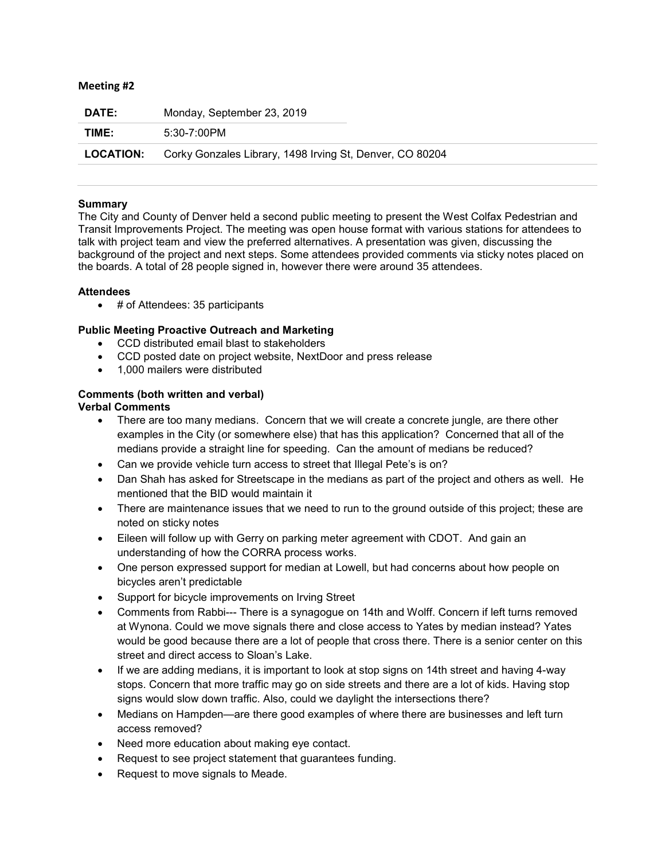#### **Meeting #2**

| <b>DATE:</b>     | Monday, September 23, 2019                               |
|------------------|----------------------------------------------------------|
| TIME:            | 5:30-7:00PM                                              |
| <b>LOCATION:</b> | Corky Gonzales Library, 1498 Irving St, Denver, CO 80204 |

# **Summary**

The City and County of Denver held a second public meeting to present the West Colfax Pedestrian and Transit Improvements Project. The meeting was open house format with various stations for attendees to talk with project team and view the preferred alternatives. A presentation was given, discussing the background of the project and next steps. Some attendees provided comments via sticky notes placed on the boards. A total of 28 people signed in, however there were around 35 attendees.

# **Attendees**

• # of Attendees: 35 participants

# **Public Meeting Proactive Outreach and Marketing**

- CCD distributed email blast to stakeholders
- CCD posted date on project website, NextDoor and press release
- 1,000 mailers were distributed

# **Comments (both written and verbal)**

# **Verbal Comments**

- There are too many medians. Concern that we will create a concrete jungle, are there other examples in the City (or somewhere else) that has this application? Concerned that all of the medians provide a straight line for speeding. Can the amount of medians be reduced?
- Can we provide vehicle turn access to street that Illegal Pete's is on?
- Dan Shah has asked for Streetscape in the medians as part of the project and others as well. He mentioned that the BID would maintain it
- There are maintenance issues that we need to run to the ground outside of this project; these are noted on sticky notes
- Eileen will follow up with Gerry on parking meter agreement with CDOT. And gain an understanding of how the CORRA process works.
- One person expressed support for median at Lowell, but had concerns about how people on bicycles aren't predictable
- Support for bicycle improvements on Irving Street
- Comments from Rabbi--- There is a synagogue on 14th and Wolff. Concern if left turns removed at Wynona. Could we move signals there and close access to Yates by median instead? Yates would be good because there are a lot of people that cross there. There is a senior center on this street and direct access to Sloan's Lake.
- If we are adding medians, it is important to look at stop signs on 14th street and having 4-way stops. Concern that more traffic may go on side streets and there are a lot of kids. Having stop signs would slow down traffic. Also, could we daylight the intersections there?
- Medians on Hampden—are there good examples of where there are businesses and left turn access removed?
- Need more education about making eye contact.
- Request to see project statement that guarantees funding.
- Request to move signals to Meade.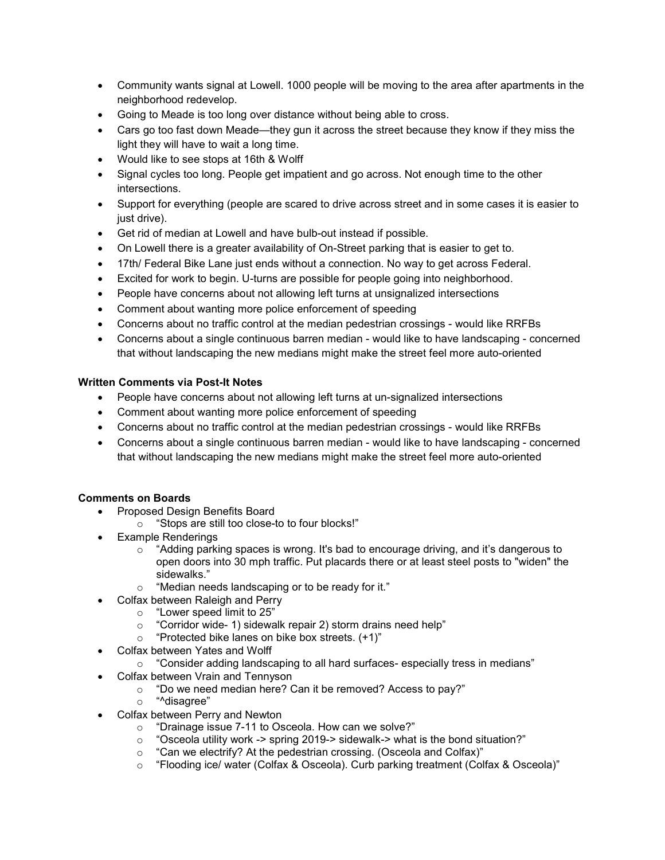- Community wants signal at Lowell. 1000 people will be moving to the area after apartments in the neighborhood redevelop.
- Going to Meade is too long over distance without being able to cross.
- Cars go too fast down Meade—they gun it across the street because they know if they miss the light they will have to wait a long time.
- Would like to see stops at 16th & Wolff
- Signal cycles too long. People get impatient and go across. Not enough time to the other intersections.
- Support for everything (people are scared to drive across street and in some cases it is easier to just drive).
- Get rid of median at Lowell and have bulb-out instead if possible.
- On Lowell there is a greater availability of On-Street parking that is easier to get to.
- 17th/ Federal Bike Lane just ends without a connection. No way to get across Federal.
- Excited for work to begin. U-turns are possible for people going into neighborhood.
- People have concerns about not allowing left turns at unsignalized intersections
- Comment about wanting more police enforcement of speeding
- Concerns about no traffic control at the median pedestrian crossings would like RRFBs
- Concerns about a single continuous barren median would like to have landscaping concerned that without landscaping the new medians might make the street feel more auto-oriented

# **Written Comments via Post-It Notes**

- People have concerns about not allowing left turns at un-signalized intersections
- Comment about wanting more police enforcement of speeding
- Concerns about no traffic control at the median pedestrian crossings would like RRFBs
- Concerns about a single continuous barren median would like to have landscaping concerned that without landscaping the new medians might make the street feel more auto-oriented

# **Comments on Boards**

- Proposed Design Benefits Board
	- o "Stops are still too close-to to four blocks!"
- Example Renderings
	- $\circ$  "Adding parking spaces is wrong. It's bad to encourage driving, and it's dangerous to open doors into 30 mph traffic. Put placards there or at least steel posts to "widen" the sidewalks."
	- o "Median needs landscaping or to be ready for it."
	- Colfax between Raleigh and Perry
		-
		- o "Lower speed limit to 25" "Corridor wide- 1) sidewalk repair 2) storm drains need help"
		- o "Protected bike lanes on bike box streets. (+1)"
- Colfax between Yates and Wolff
	- o "Consider adding landscaping to all hard surfaces- especially tress in medians"
- Colfax between Vrain and Tennyson
	- o "Do we need median here? Can it be removed? Access to pay?"
	- o "^disagree"
- Colfax between Perry and Newton
	- o "Drainage issue 7-11 to Osceola. How can we solve?"<br>○ "Osceola utilitv work -> spring 2019-> sidewalk-> what
	- "Osceola utility work -> spring 2019-> sidewalk-> what is the bond situation?"
	- o "Can we electrify? At the pedestrian crossing. (Osceola and Colfax)"
	- o "Flooding ice/ water (Colfax & Osceola). Curb parking treatment (Colfax & Osceola)"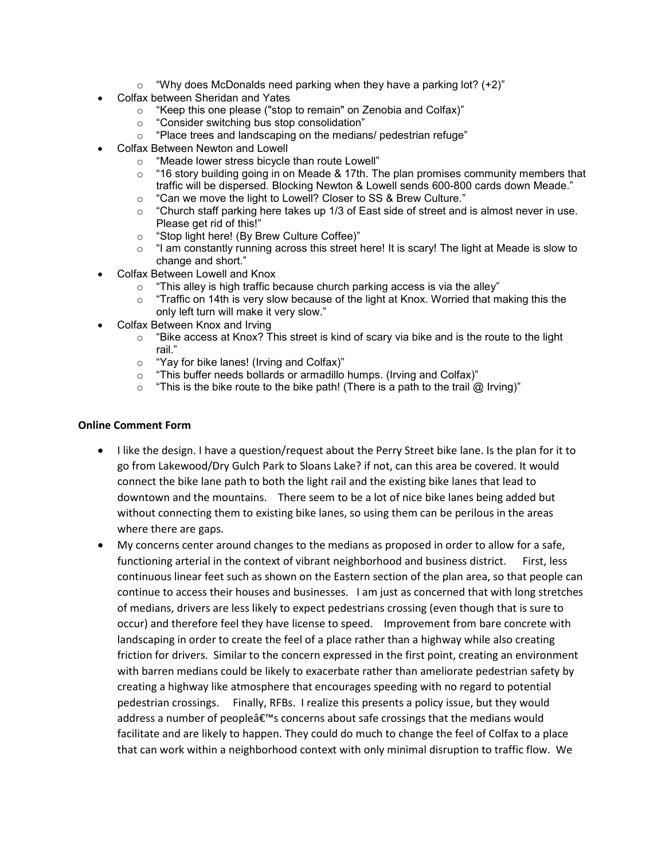- $\degree$  "Why does McDonalds need parking when they have a parking lot? (+2)"
- Colfax between Sheridan and Yates
	- o "Keep this one please ("stop to remain" on Zenobia and Colfax)"
	- o "Consider switching bus stop consolidation"
	- o "Place trees and landscaping on the medians/ pedestrian refuge"
- Colfax Between Newton and Lowell
	- o "Meade lower stress bicycle than route Lowell"
	- o "16 story building going in on Meade & 17th. The plan promises community members that traffic will be dispersed. Blocking Newton & Lowell sends 600-800 cards down Meade."
	- $\circ$  "Can we move the light to Lowell? Closer to SS & Brew Culture."<br>  $\circ$  "Church staff parking here takes up 1/3 of East side of street and
	- "Church staff parking here takes up 1/3 of East side of street and is almost never in use. Please get rid of this!"
	- o "Stop light here! (By Brew Culture Coffee)"
	- $\circ$  "I am constantly running across this street here! It is scary! The light at Meade is slow to change and short."
- Colfax Between Lowell and Knox
	- $\circ$  "This alley is high traffic because church parking access is via the alley"
	- o "Traffic on 14th is very slow because of the light at Knox. Worried that making this the only left turn will make it very slow."
- Colfax Between Knox and Irving
	- $\circ$  "Bike access at Knox? This street is kind of scary via bike and is the route to the light rail."
	- o "Yay for bike lanes! (Irving and Colfax)"
	- $\circ$  "This buffer needs bollards or armadillo humps. (Irving and Colfax)"<br> $\circ$  "This is the bike route to the bike path! (There is a path to the trail @
	- "This is the bike route to the bike path! (There is a path to the trail  $\omega$  Irving)"

#### **Online Comment Form**

- I like the design. I have a question/request about the Perry Street bike lane. Is the plan for it to go from Lakewood/Dry Gulch Park to Sloans Lake? if not, can this area be covered. It would connect the bike lane path to both the light rail and the existing bike lanes that lead to downtown and the mountains. There seem to be a lot of nice bike lanes being added but without connecting them to existing bike lanes, so using them can be perilous in the areas where there are gaps.
- My concerns center around changes to the medians as proposed in order to allow for a safe, functioning arterial in the context of vibrant neighborhood and business district. First, less continuous linear feet such as shown on the Eastern section of the plan area, so that people can continue to access their houses and businesses. I am just as concerned that with long stretches of medians, drivers are less likely to expect pedestrians crossing (even though that is sure to occur) and therefore feel they have license to speed. Improvement from bare concrete with landscaping in order to create the feel of a place rather than a highway while also creating friction for drivers. Similar to the concern expressed in the first point, creating an environment with barren medians could be likely to exacerbate rather than ameliorate pedestrian safety by creating a highway like atmosphere that encourages speeding with no regard to potential pedestrian crossings. Finally, RFBs. I realize this presents a policy issue, but they would address a number of people's concerns about safe crossings that the medians would facilitate and are likely to happen. They could do much to change the feel of Colfax to a place that can work within a neighborhood context with only minimal disruption to traffic flow. We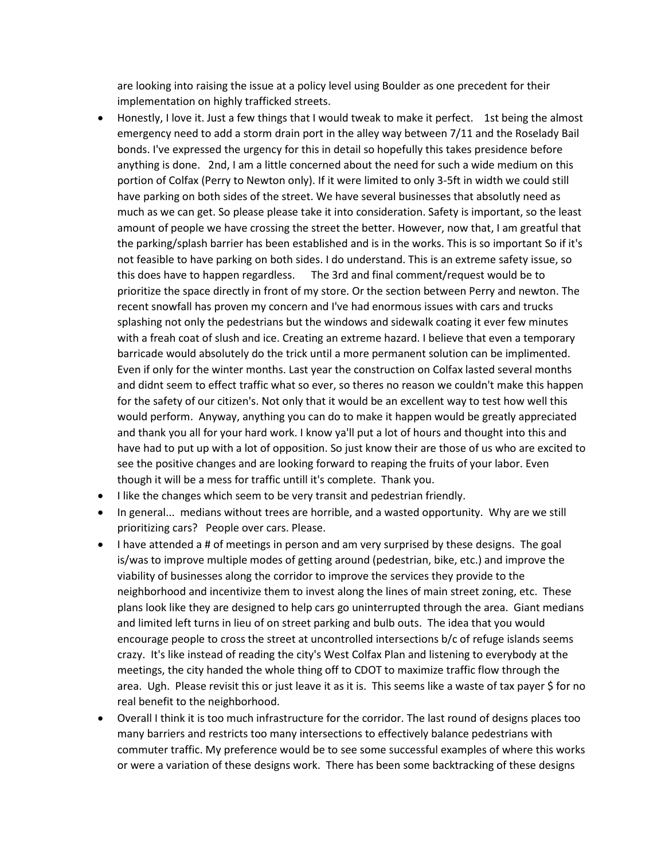are looking into raising the issue at a policy level using Boulder as one precedent for their implementation on highly trafficked streets.

- Honestly, I love it. Just a few things that I would tweak to make it perfect. 1st being the almost emergency need to add a storm drain port in the alley way between 7/11 and the Roselady Bail bonds. I've expressed the urgency for this in detail so hopefully this takes presidence before anything is done. 2nd, I am a little concerned about the need for such a wide medium on this portion of Colfax (Perry to Newton only). If it were limited to only 3-5ft in width we could still have parking on both sides of the street. We have several businesses that absolutly need as much as we can get. So please please take it into consideration. Safety is important, so the least amount of people we have crossing the street the better. However, now that, I am greatful that the parking/splash barrier has been established and is in the works. This is so important So if it's not feasible to have parking on both sides. I do understand. This is an extreme safety issue, so this does have to happen regardless. The 3rd and final comment/request would be to prioritize the space directly in front of my store. Or the section between Perry and newton. The recent snowfall has proven my concern and I've had enormous issues with cars and trucks splashing not only the pedestrians but the windows and sidewalk coating it ever few minutes with a freah coat of slush and ice. Creating an extreme hazard. I believe that even a temporary barricade would absolutely do the trick until a more permanent solution can be implimented. Even if only for the winter months. Last year the construction on Colfax lasted several months and didnt seem to effect traffic what so ever, so theres no reason we couldn't make this happen for the safety of our citizen's. Not only that it would be an excellent way to test how well this would perform. Anyway, anything you can do to make it happen would be greatly appreciated and thank you all for your hard work. I know ya'll put a lot of hours and thought into this and have had to put up with a lot of opposition. So just know their are those of us who are excited to see the positive changes and are looking forward to reaping the fruits of your labor. Even though it will be a mess for traffic untill it's complete. Thank you.
- I like the changes which seem to be very transit and pedestrian friendly.
- In general... medians without trees are horrible, and a wasted opportunity. Why are we still prioritizing cars? People over cars. Please.
- I have attended a # of meetings in person and am very surprised by these designs. The goal is/was to improve multiple modes of getting around (pedestrian, bike, etc.) and improve the viability of businesses along the corridor to improve the services they provide to the neighborhood and incentivize them to invest along the lines of main street zoning, etc. These plans look like they are designed to help cars go uninterrupted through the area. Giant medians and limited left turns in lieu of on street parking and bulb outs. The idea that you would encourage people to cross the street at uncontrolled intersections b/c of refuge islands seems crazy. It's like instead of reading the city's West Colfax Plan and listening to everybody at the meetings, the city handed the whole thing off to CDOT to maximize traffic flow through the area. Ugh. Please revisit this or just leave it as it is. This seems like a waste of tax payer \$ for no real benefit to the neighborhood.
- Overall I think it is too much infrastructure for the corridor. The last round of designs places too many barriers and restricts too many intersections to effectively balance pedestrians with commuter traffic. My preference would be to see some successful examples of where this works or were a variation of these designs work. There has been some backtracking of these designs